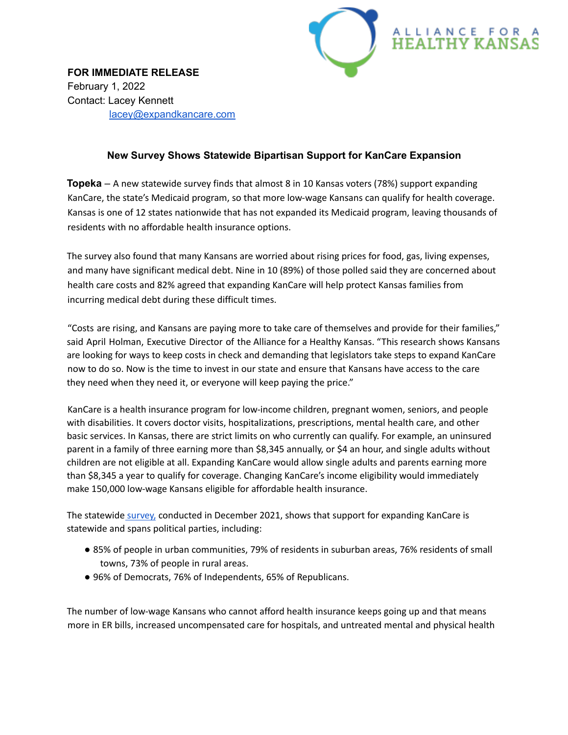

**FOR IMMEDIATE RELEASE** February 1, 2022 Contact: Lacey Kennett lacey@expandkancare.com

## **New Survey Shows Statewide Bipartisan Support for KanCare Expansion**

**Topeka** – A new statewide survey finds that almost 8 in 10 Kansas voters (78%) support expanding KanCare, the state's Medicaid program, so that more low-wage Kansans can qualify for health coverage. Kansas is one of 12 states nationwide that has not expanded its Medicaid program, leaving thousands of residents with no affordable health insurance options.

The survey also found that many Kansans are worried about rising prices for food, gas, living expenses, and many have significant medical debt. Nine in 10 (89%) of those polled said they are concerned about health care costs and 82% agreed that expanding KanCare will help protect Kansas families from incurring medical debt during these difficult times.

"Costs are rising, and Kansans are paying more to take care of themselves and provide for their families," said April Holman, Executive Director of the Alliance for a Healthy Kansas. "This research shows Kansans are looking for ways to keep costs in check and demanding that legislators take steps to expand KanCare now to do so. Now is the time to invest in our state and ensure that Kansans have access to the care they need when they need it, or everyone will keep paying the price."

KanCare is a health insurance program for low-income children, pregnant women, seniors, and people with disabilities. It covers doctor visits, hospitalizations, prescriptions, mental health care, and other basic services. In Kansas, there are strict limits on who currently can qualify. For example, an uninsured parent in a family of three earning more than \$8,345 annually, or \$4 an hour, and single adults without children are not eligible at all. Expanding KanCare would allow single adults and parents earning more than \$8,345 a year to qualify for coverage. Changing KanCare's income eligibility would immediately make 150,000 low-wage Kansans eligible for affordable health insurance.

The statewide [survey,](https://docs.google.com/presentation/d/1cDaSPIAT4vot6IpUyapiNR0tn5wZiujt/edit?usp=sharing&ouid=107198639295869582277&rtpof=true&sd=true) conducted in December 2021, shows that support for expanding KanCare is statewide and spans political parties, including:

- 85% of people in urban communities, 79% of residents in suburban areas, 76% residents of small towns, 73% of people in rural areas.
- 96% of Democrats, 76% of Independents, 65% of Republicans.

The number of low-wage Kansans who cannot afford health insurance keeps going up and that means more in ER bills, increased uncompensated care for hospitals, and untreated mental and physical health